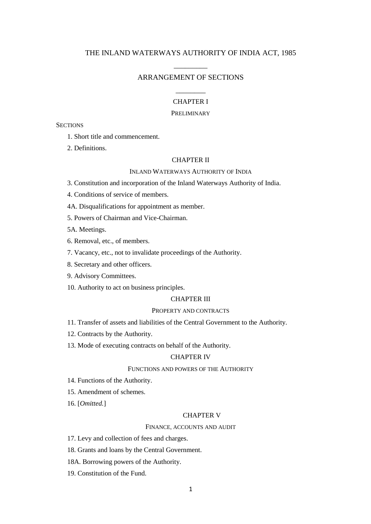# THE INLAND WATERWAYS AUTHORITY OF INDIA ACT, 1985

# \_\_\_\_\_\_\_\_\_ ARRANGEMENT OF SECTIONS

# \_\_\_\_\_\_\_\_ CHAPTER I

# PRELIMINARY

## **SECTIONS**

- 1. Short title and commencement.
- 2. Definitions.

## CHAPTER II

## INLAND WATERWAYS AUTHORITY OF INDIA

- 3. Constitution and incorporation of the Inland Waterways Authority of India.
- 4. Conditions of service of members.
- 4A. Disqualifications for appointment as member.
- 5. Powers of Chairman and Vice-Chairman.

5A. Meetings.

- 6. Removal, etc., of members.
- 7. Vacancy, etc., not to invalidate proceedings of the Authority.
- 8. Secretary and other officers.
- 9. Advisory Committees.
- 10. Authority to act on business principles.

# CHAPTER III

#### PROPERTY AND CONTRACTS

- 11. Transfer of assets and liabilities of the Central Government to the Authority.
- 12. Contracts by the Authority.
- 13. Mode of executing contracts on behalf of the Authority.

# CHAPTER IV

## FUNCTIONS AND POWERS OF THE AUTHORITY

- 14. Functions of the Authority.
- 15. Amendment of schemes.
- 16. [*Omitted.*]

# CHAPTER V

## FINANCE, ACCOUNTS AND AUDIT

17. Levy and collection of fees and charges.

- 18. Grants and loans by the Central Government.
- 18A. Borrowing powers of the Authority.
- 19. Constitution of the Fund.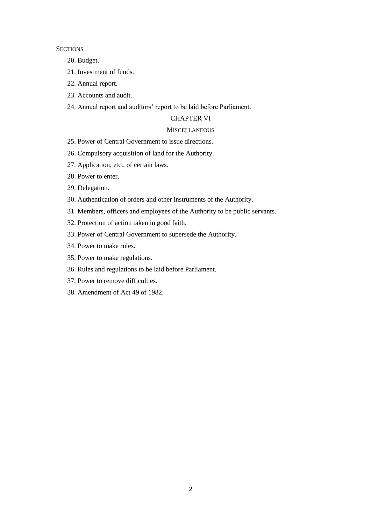**SECTIONS** 

- 20. Budget.
- 21. Investment of funds.
- 22. Annual report.
- 23. Accounts and audit.
- 24. Annual report and auditors' report to be laid before Parliament.

## CHAPTER VI

# **MISCELLANEOUS**

- 25. Power of Central Government to issue directions.
- 26. Compulsory acquisition of land for the Authority.
- 27. Application, etc., of certain laws.
- 28. Power to enter.
- 29. Delegation.
- 30. Authentication of orders and other instruments of the Authority.
- 31. Members, officers and employees of the Authority to be public servants.
- 32. Protection of action taken in good faith.
- 33. Power of Central Government to supersede the Authority.
- 34. Power to make rules.
- 35. Power to make regulations.
- 36. Rules and regulations to be laid before Parliament.
- 37. Power to remove difficulties.
- 38. Amendment of Act 49 of 1982.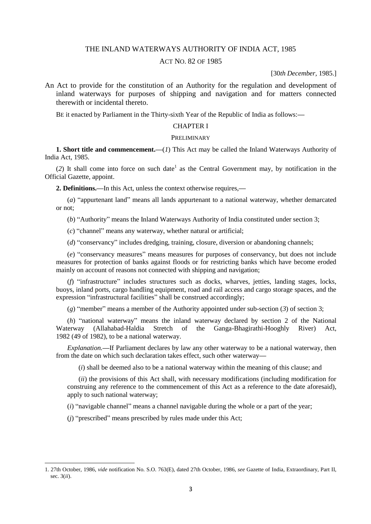# THE INLAND WATERWAYS AUTHORITY OF INDIA ACT, 1985

# ACT NO. 82 OF 1985

[30*th December,* 1985.]

An Act to provide for the constitution of an Authority for the regulation and development of inland waterways for purposes of shipping and navigation and for matters connected therewith or incidental thereto.

BE it enacted by Parliament in the Thirty-sixth Year of the Republic of India as follows:**—**

# CHAPTER I

#### PRELIMINARY

**1. Short title and commencement.—**(*1*) This Act may be called the Inland Waterways Authority of India Act, 1985.

 $(2)$  It shall come into force on such date<sup>1</sup> as the Central Government may, by notification in the Official Gazette, appoint.

**2. Definitions.—**In this Act, unless the context otherwise requires,**—**

(*a*) "appurtenant land" means all lands appurtenant to a national waterway, whether demarcated or not;

(*b*) "Authority" means the Inland Waterways Authority of India constituted under section 3;

(*c*) "channel" means any waterway, whether natural or artificial;

(*d*) "conservancy" includes dredging, training, closure, diversion or abandoning channels;

(*e*) "conservancy measures" means measures for purposes of conservancy, but does not include measures for protection of banks against floods or for restricting banks which have become eroded mainly on account of reasons not connected with shipping and navigation;

(*f*) "infrastructure" includes structures such as docks, wharves, jetties, landing stages, locks, buoys, inland ports, cargo handling equipment, road and rail access and cargo storage spaces, and the expression "infrastructural facilities" shall be construed accordingly;

(*g*) "member" means a member of the Authority appointed under sub-section (*3*) of section 3;

(*h*) "national waterway" means the inland waterway declared by section 2 of the National Waterway (Allahabad-Haldia Stretch of the Ganga-Bhagirathi-Hooghly River) Act, 1982 (49 of 1982), to be a national waterway.

*Explanation.—*If Parliament declares by law any other waterway to be a national waterway, then from the date on which such declaration takes effect, such other waterway**—**

(*i*) shall be deemed also to be a national waterway within the meaning of this clause; and

(*ii*) the provisions of this Act shall, with necessary modifications (including modification for construing any reference to the commencement of this Act as a reference to the date aforesaid), apply to such national waterway;

(*i*) "navigable channel" means a channel navigable during the whole or a part of the year;

(*j*) "prescribed" means prescribed by rules made under this Act;

1

<sup>1. 27</sup>th October, 1986, *vide* notification No. S.O. 763(E), dated 27th October, 1986, *see* Gazette of India, Extraordinary, Part II, sec. 3(*ii*).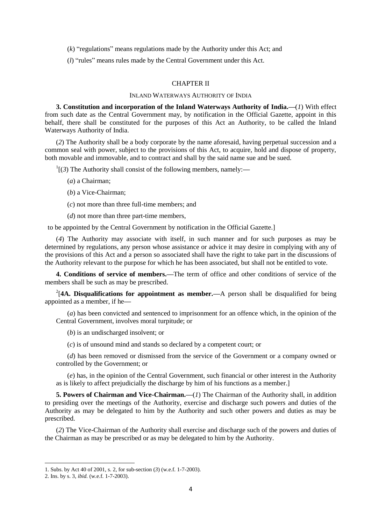(*k*) "regulations" means regulations made by the Authority under this Act; and

(*l*) "rules" means rules made by the Central Government under this Act.

## CHAPTER II

## INLAND WATERWAYS AUTHORITY OF INDIA

**3. Constitution and incorporation of the Inland Waterways Authority of India.—**(*1*) With effect from such date as the Central Government may, by notification in the Official Gazette, appoint in this behalf, there shall be constituted for the purposes of this Act an Authority, to be called the Inland Waterways Authority of India.

(*2*) The Authority shall be a body corporate by the name aforesaid, having perpetual succession and a common seal with power, subject to the provisions of this Act, to acquire, hold and dispose of property, both movable and immovable, and to contract and shall by the said name sue and be sued.

1 [(*3*) The Authority shall consist of the following members, namely:**—**

- (*a*) a Chairman;
- (*b*) a Vice-Chairman;
- (*c*) not more than three full-time members; and
- (*d*) not more than three part-time members,

to be appointed by the Central Government by notification in the Official Gazette.]

(*4*) The Authority may associate with itself, in such manner and for such purposes as may be determined by regulations, any person whose assistance or advice it may desire in complying with any of the provisions of this Act and a person so associated shall have the right to take part in the discussions of the Authority relevant to the purpose for which he has been associated, but shall not be entitled to vote.

**4. Conditions of service of members.—**The term of office and other conditions of service of the members shall be such as may be prescribed.

<sup>2</sup>[4A. Disqualifications for appointment as member.—A person shall be disqualified for being appointed as a member, if he**—**

(*a*) has been convicted and sentenced to imprisonment for an offence which, in the opinion of the Central Government, involves moral turpitude; or

(*b*) is an undischarged insolvent; or

(*c*) is of unsound mind and stands so declared by a competent court; or

(*d*) has been removed or dismissed from the service of the Government or a company owned or controlled by the Government; or

(*e*) has, in the opinion of the Central Government, such financial or other interest in the Authority as is likely to affect prejudicially the discharge by him of his functions as a member.]

**5. Powers of Chairman and Vice-Chairman.—**(*1*) The Chairman of the Authority shall, in addition to presiding over the meetings of the Authority, exercise and discharge such powers and duties of the Authority as may be delegated to him by the Authority and such other powers and duties as may be prescribed.

(*2*) The Vice-Chairman of the Authority shall exercise and discharge such of the powers and duties of the Chairman as may be prescribed or as may be delegated to him by the Authority.

1

<sup>1.</sup> Subs. by Act 40 of 2001, s. 2, for sub-section (*3*) (w.e.f. 1-7-2003).

<sup>2.</sup> Ins. by s. 3, *ibid.* (w.e.f. 1-7-2003).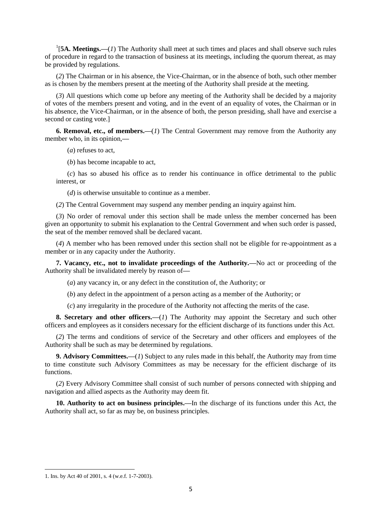<sup>1</sup>[5A. Meetings.—(*1*) The Authority shall meet at such times and places and shall observe such rules of procedure in regard to the transaction of business at its meetings, including the quorum thereat, as may be provided by regulations.

(*2*) The Chairman or in his absence, the Vice-Chairman, or in the absence of both, such other member as is chosen by the members present at the meeting of the Authority shall preside at the meeting.

(*3*) All questions which come up before any meeting of the Authority shall be decided by a majority of votes of the members present and voting, and in the event of an equality of votes, the Chairman or in his absence, the Vice-Chairman, or in the absence of both, the person presiding, shall have and exercise a second or casting vote.]

**6. Removal, etc., of members.—**(*1*) The Central Government may remove from the Authority any member who, in its opinion,**—**

(*a*) refuses to act,

(*b*) has become incapable to act,

(*c*) has so abused his office as to render his continuance in office detrimental to the public interest, or

(*d*) is otherwise unsuitable to continue as a member.

(*2*) The Central Government may suspend any member pending an inquiry against him.

(*3*) No order of removal under this section shall be made unless the member concerned has been given an opportunity to submit his explanation to the Central Government and when such order is passed, the seat of the member removed shall be declared vacant.

(*4*) A member who has been removed under this section shall not be eligible for re-appointment as a member or in any capacity under the Authority.

**7. Vacancy, etc., not to invalidate proceedings of the Authority.—**No act or proceeding of the Authority shall be invalidated merely by reason of**—**

(*a*) any vacancy in, or any defect in the constitution of, the Authority; or

(*b*) any defect in the appointment of a person acting as a member of the Authority; or

(*c*) any irregularity in the procedure of the Authority not affecting the merits of the case.

**8. Secretary and other officers.—**(*1*) The Authority may appoint the Secretary and such other officers and employees as it considers necessary for the efficient discharge of its functions under this Act.

(*2*) The terms and conditions of service of the Secretary and other officers and employees of the Authority shall be such as may be determined by regulations.

**9. Advisory Committees.—**(*1*) Subject to any rules made in this behalf, the Authority may from time to time constitute such Advisory Committees as may be necessary for the efficient discharge of its functions.

(*2*) Every Advisory Committee shall consist of such number of persons connected with shipping and navigation and allied aspects as the Authority may deem fit.

**10. Authority to act on business principles.—**In the discharge of its functions under this Act, the Authority shall act, so far as may be, on business principles.

<sup>1.</sup> Ins. by Act 40 of 2001, s. 4 (w.e.f. 1-7-2003).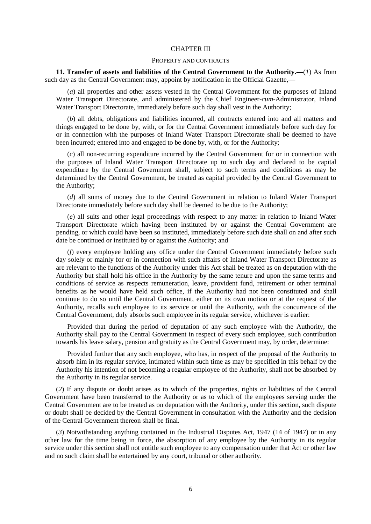#### CHAPTER III

#### PROPERTY AND CONTRACTS

**11. Transfer of assets and liabilities of the Central Government to the Authority.—**(*1*) As from such day as the Central Government may, appoint by notification in the Official Gazette,**—**

(*a*) all properties and other assets vested in the Central Government for the purposes of Inland Water Transport Directorate, and administered by the Chief Engineer-*cum*-Administrator, Inland Water Transport Directorate, immediately before such day shall vest in the Authority;

(*b*) all debts, obligations and liabilities incurred, all contracts entered into and all matters and things engaged to be done by, with, or for the Central Government immediately before such day for or in connection with the purposes of Inland Water Transport Directorate shall be deemed to have been incurred; entered into and engaged to be done by, with, or for the Authority;

(*c*) all non-recurring expenditure incurred by the Central Government for or in connection with the purposes of Inland Water Transport Directorate up to such day and declared to be capital expenditure by the Central Government shall, subject to such terms and conditions as may be determined by the Central Government, be treated as capital provided by the Central Government to the Authority;

(*d*) all sums of money due to the Central Government in relation to Inland Water Transport Directorate immediately before such day shall be deemed to be due to the Authority;

(*e*) all suits and other legal proceedings with respect to any matter in relation to Inland Water Transport Directorate which having been instituted by or against the Central Government are pending, or which could have been so instituted, immediately before such date shall on and after such date be continued or instituted by or against the Authority; and

(*f*) every employee holding any office under the Central Government immediately before such day solely or mainly for or in connection with such affairs of Inland Water Transport Directorate as are relevant to the functions of the Authority under this Act shall be treated as on deputation with the Authority but shall hold his office in the Authority by the same tenure and upon the same terms and conditions of service as respects remuneration, leave, provident fund, retirement or other terminal benefits as he would have held such office, if the Authority had not been constituted and shall continue to do so until the Central Government, either on its own motion or at the request of the Authority, recalls such employee to its service or until the Authority, with the concurrence of the Central Government, duly absorbs such employee in its regular service, whichever is earlier:

Provided that during the period of deputation of any such employee with the Authority, the Authority shall pay to the Central Government in respect of every such employee, such contribution towards his leave salary, pension and gratuity as the Central Government may, by order, determine:

Provided further that any such employee, who has, in respect of the proposal of the Authority to absorb him in its regular service, intimated within such time as may be specified in this behalf by the Authority his intention of not becoming a regular employee of the Authority, shall not be absorbed by the Authority in its regular service.

(*2*) If any dispute or doubt arises as to which of the properties, rights or liabilities of the Central Government have been transferred to the Authority or as to which of the employees serving under the Central Government are to be treated as on deputation with the Authority, under this section, such dispute or doubt shall be decided by the Central Government in consultation with the Authority and the decision of the Central Government thereon shall be final.

(*3*) Notwithstanding anything contained in the Industrial Disputes Act, 1947 (14 of 1947) or in any other law for the time being in force, the absorption of any employee by the Authority in its regular service under this section shall not entitle such employee to any compensation under that Act or other law and no such claim shall be entertained by any court, tribunal or other authority.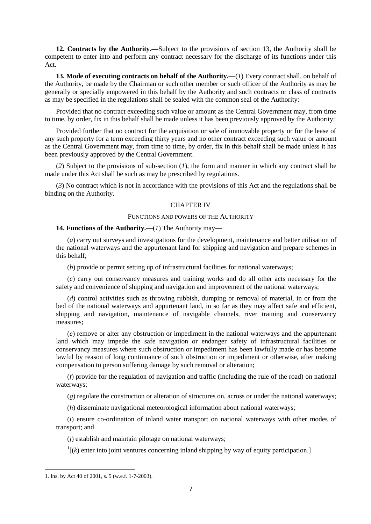**12. Contracts by the Authority.—**Subject to the provisions of section 13, the Authority shall be competent to enter into and perform any contract necessary for the discharge of its functions under this Act.

**13. Mode of executing contracts on behalf of the Authority.—**(*1*) Every contract shall, on behalf of the Authority, be made by the Chairman or such other member or such officer of the Authority as may be generally or specially empowered in this behalf by the Authority and such contracts or class of contracts as may be specified in the regulations shall be sealed with the common seal of the Authority:

Provided that no contract exceeding such value or amount as the Central Government may, from time to time, by order, fix in this behalf shall be made unless it has been previously approved by the Authority:

Provided further that no contract for the acquisition or sale of immovable property or for the lease of any such property for a term exceeding thirty years and no other contract exceeding such value or amount as the Central Government may, from time to time, by order, fix in this behalf shall be made unless it has been previously approved by the Central Government.

(*2*) Subject to the provisions of sub-section (*1*), the form and manner in which any contract shall be made under this Act shall be such as may be prescribed by regulations.

(*3*) No contract which is not in accordance with the provisions of this Act and the regulations shall be binding on the Authority.

# CHAPTER IV

#### FUNCTIONS AND POWERS OF THE AUTHORITY

## **14. Functions of the Authority.—**(*1*) The Authority may**—**

(*a*) carry out surveys and investigations for the development, maintenance and better utilisation of the national waterways and the appurtenant land for shipping and navigation and prepare schemes in this behalf;

(*b*) provide or permit setting up of infrastructural facilities for national waterways;

(*c*) carry out conservancy measures and training works and do all other acts necessary for the safety and convenience of shipping and navigation and improvement of the national waterways;

(*d*) control activities such as throwing rubbish, dumping or removal of material, in or from the bed of the national waterways and appurtenant land, in so far as they may affect safe and efficient, shipping and navigation, maintenance of navigable channels, river training and conservancy measures;

(*e*) remove or alter any obstruction or impediment in the national waterways and the appurtenant land which may impede the safe navigation or endanger safety of infrastructural facilities or conservancy measures where such obstruction or impediment has been lawfully made or has become lawful by reason of long continuance of such obstruction or impediment or otherwise, after making compensation to person suffering damage by such removal or alteration;

(*f*) provide for the regulation of navigation and traffic (including the rule of the road) on national waterways;

(*g*) regulate the construction or alteration of structures on, across or under the national waterways;

(*h*) disseminate navigational meteorological information about national waterways;

(*i*) ensure co-ordination of inland water transport on national waterways with other modes of transport; and

(*j*) establish and maintain pilotage on national waterways;

 $\mathbf{1}$ <sup>1</sup> $(k)$  enter into joint ventures concerning inland shipping by way of equity participation.]

<sup>1.</sup> Ins. by Act 40 of 2001, s. 5 (w.e.f. 1-7-2003).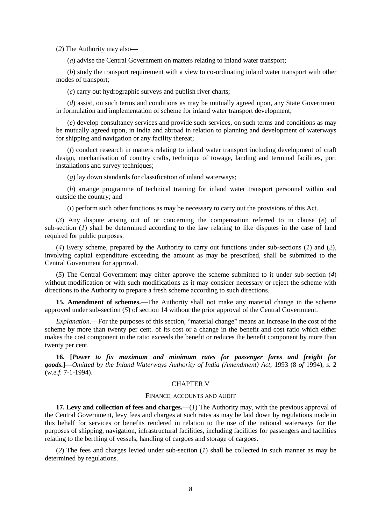(*2*) The Authority may also**—**

(*a*) advise the Central Government on matters relating to inland water transport;

(*b*) study the transport requirement with a view to co-ordinating inland water transport with other modes of transport;

(*c*) carry out hydrographic surveys and publish river charts;

(*d*) assist, on such terms and conditions as may be mutually agreed upon, any State Government in formulation and implementation of scheme for inland water transport development;

(*e*) develop consultancy services and provide such services, on such terms and conditions as may be mutually agreed upon, in India and abroad in relation to planning and development of waterways for shipping and navigation or any facility thereat;

(*f*) conduct research in matters relating to inland water transport including development of craft design, mechanisation of country crafts, technique of towage, landing and terminal facilities, port installations and survey techniques;

(*g*) lay down standards for classification of inland waterways;

(*h*) arrange programme of technical training for inland water transport personnel within and outside the country; and

(*i*) perform such other functions as may be necessary to carry out the provisions of this Act.

(*3*) Any dispute arising out of or concerning the compensation referred to in clause (*e*) of sub-section (*1*) shall be determined according to the law relating to like disputes in the case of land required for public purposes.

(*4*) Every scheme, prepared by the Authority to carry out functions under sub-sections (*1*) and (*2*), involving capital expenditure exceeding the amount as may be prescribed, shall be submitted to the Central Government for approval.

(*5*) The Central Government may either approve the scheme submitted to it under sub-section (*4*) without modification or with such modifications as it may consider necessary or reject the scheme with directions to the Authority to prepare a fresh scheme according to such directions.

**15. Amendment of schemes.—**The Authority shall not make any material change in the scheme approved under sub-section (*5*) of section 14 without the prior approval of the Central Government.

*Explanation.—*For the purposes of this section, "material change" means an increase in the cost of the scheme by more than twenty per cent. of its cost or a change in the benefit and cost ratio which either makes the cost component in the ratio exceeds the benefit or reduces the benefit component by more than twenty per cent.

**16. [***Power to fix maximum and minimum rates for passenger fares and freight for goods.***]—***Omitted by the Inland Waterways Authority of India (Amendment) Act,* 1993 (8 *of* 1994), *s.* 2 (*w.e.f.* 7-1-1994).

### CHAPTER V

#### FINANCE, ACCOUNTS AND AUDIT

**17. Levy and collection of fees and charges.—(***1***) The Authority may, with the previous approval of** the Central Government, levy fees and charges at such rates as may be laid down by regulations made in this behalf for services or benefits rendered in relation to the use of the national waterways for the purposes of shipping, navigation, infrastructural facilities, including facilities for passengers and facilities relating to the berthing of vessels, handling of cargoes and storage of cargoes.

(*2*) The fees and charges levied under sub-section (*1*) shall be collected in such manner as may be determined by regulations.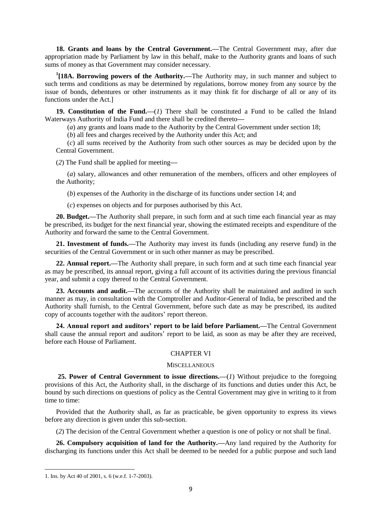**18. Grants and loans by the Central Government.—**The Central Government may, after due appropriation made by Parliament by law in this behalf, make to the Authority grants and loans of such sums of money as that Government may consider necessary.

<sup>1</sup>[18A. Borrowing powers of the Authority.—The Authority may, in such manner and subject to such terms and conditions as may be determined by regulations, borrow money from any source by the issue of bonds, debentures or other instruments as it may think fit for discharge of all or any of its functions under the Act.]

**19. Constitution of the Fund.—**(*1*) There shall be constituted a Fund to be called the Inland Waterways Authority of India Fund and there shall be credited thereto**—**

(*a*) any grants and loans made to the Authority by the Central Government under section 18;

(*b*) all fees and charges received by the Authority under this Act; and

(*c*) all sums received by the Authority from such other sources as may be decided upon by the Central Government.

(*2*) The Fund shall be applied for meeting**—**

(*a*) salary, allowances and other remuneration of the members, officers and other employees of the Authority;

(*b*) expenses of the Authority in the discharge of its functions under section 14; and

(*c*) expenses on objects and for purposes authorised by this Act.

**20. Budget.—**The Authority shall prepare, in such form and at such time each financial year as may be prescribed, its budget for the next financial year, showing the estimated receipts and expenditure of the Authority and forward the same to the Central Government.

**21. Investment of funds.—**The Authority may invest its funds (including any reserve fund) in the securities of the Central Government or in such other manner as may be prescribed.

**22. Annual report.—**The Authority shall prepare, in such form and at such time each financial year as may be prescribed, its annual report, giving a full account of its activities during the previous financial year, and submit a copy thereof to the Central Government.

**23. Accounts and audit.—**The accounts of the Authority shall be maintained and audited in such manner as may, in consultation with the Comptroller and Auditor-General of India, be prescribed and the Authority shall furnish, to the Central Government, before such date as may be prescribed, its audited copy of accounts together with the auditors' report thereon.

**24. Annual report and auditors' report to be laid before Parliament.—**The Central Government shall cause the annual report and auditors' report to be laid, as soon as may be after they are received, before each House of Parliament.

## CHAPTER VI

#### **MISCELLANEOUS**

**25. Power of Central Government to issue directions.—**(*1*) Without prejudice to the foregoing provisions of this Act, the Authority shall, in the discharge of its functions and duties under this Act, be bound by such directions on questions of policy as the Central Government may give in writing to it from time to time:

Provided that the Authority shall, as far as practicable, be given opportunity to express its views before any direction is given under this sub-section.

(*2*) The decision of the Central Government whether a question is one of policy or not shall be final.

**26. Compulsory acquisition of land for the Authority.—**Any land required by the Authority for discharging its functions under this Act shall be deemed to be needed for a public purpose and such land

<sup>1.</sup> Ins. by Act 40 of 2001, s. 6 (w.e.f. 1-7-2003).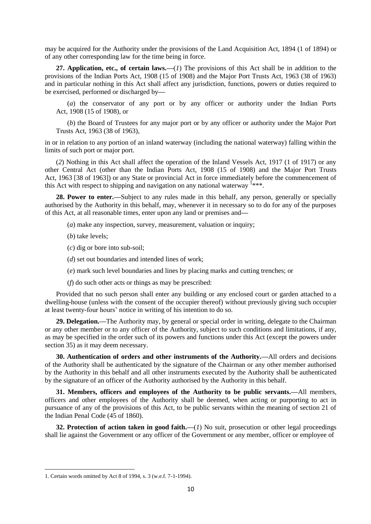may be acquired for the Authority under the provisions of the Land Acquisition Act, 1894 (1 of 1894) or of any other corresponding law for the time being in force.

**27. Application, etc., of certain laws.—**(*1*) The provisions of this Act shall be in addition to the provisions of the Indian Ports Act, 1908 (15 of 1908) and the Major Port Trusts Act, 1963 (38 of 1963) and in particular nothing in this Act shall affect any jurisdiction, functions, powers or duties required to be exercised, performed or discharged by**—**

(*a*) the conservator of any port or by any officer or authority under the Indian Ports Act, 1908 (15 of 1908), or

(*b*) the Board of Trustees for any major port or by any officer or authority under the Major Port Trusts Act, 1963 (38 of 1963),

in or in relation to any portion of an inland waterway (including the national waterway) falling within the limits of such port or major port.

(*2*) Nothing in this Act shall affect the operation of the Inland Vessels Act, 1917 (1 of 1917) or any other Central Act (other than the Indian Ports Act, 1908 (15 of 1908) and the Major Port Trusts Act, 1963 [38 of 1963]) or any State or provincial Act in force immediately before the commencement of this Act with respect to shipping and navigation on any national waterway  $\frac{1+1}{1+1}$ .

**28. Power to enter.—**Subject to any rules made in this behalf, any person, generally or specially authorised by the Authority in this behalf, may, whenever it in necessary so to do for any of the purposes of this Act, at all reasonable times, enter upon any land or premises and**—**

- (*a*) make any inspection, survey, measurement, valuation or inquiry;
- (*b*) take levels;
- (*c*) dig or bore into sub-soil;
- (*d*) set out boundaries and intended lines of work;
- (*e*) mark such level boundaries and lines by placing marks and cutting trenches; or
- (*f*) do such other acts or things as may be prescribed:

Provided that no such person shall enter any building or any enclosed court or garden attached to a dwelling-house (unless with the consent of the occupier thereof) without previously giving such occupier at least twenty-four hours' notice in writing of his intention to do so.

**29. Delegation.—**The Authority may, by general or special order in writing, delegate to the Chairman or any other member or to any officer of the Authority, subject to such conditions and limitations, if any, as may be specified in the order such of its powers and functions under this Act (except the powers under section 35) as it may deem necessary.

**30. Authentication of orders and other instruments of the Authority.—**All orders and decisions of the Authority shall be authenticated by the signature of the Chairman or any other member authorised by the Authority in this behalf and all other instruments executed by the Authority shall be authenticated by the signature of an officer of the Authority authorised by the Authority in this behalf.

**31. Members, officers and employees of the Authority to be public servants.—**All members, officers and other employees of the Authority shall be deemed, when acting or purporting to act in pursuance of any of the provisions of this Act, to be public servants within the meaning of section 21 of the Indian Penal Code (45 of 1860).

**32. Protection of action taken in good faith.—**(*1*) No suit, prosecution or other legal proceedings shall lie against the Government or any officer of the Government or any member, officer or employee of

<sup>1.</sup> Certain words omitted by Act 8 of 1994, s. 3 (w.e.f. 7-1-1994).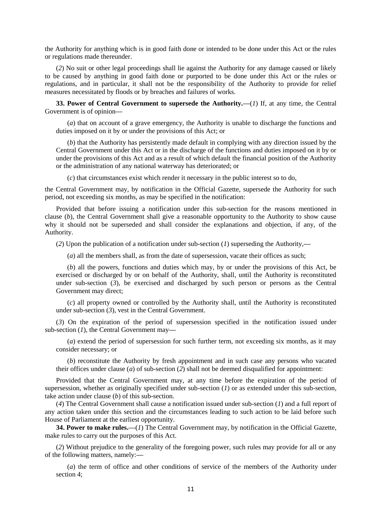the Authority for anything which is in good faith done or intended to be done under this Act or the rules or regulations made thereunder.

(*2*) No suit or other legal proceedings shall lie against the Authority for any damage caused or likely to be caused by anything in good faith done or purported to be done under this Act or the rules or regulations, and in particular, it shall not be the responsibility of the Authority to provide for relief measures necessitated by floods or by breaches and failures of works.

**33. Power of Central Government to supersede the Authority.—**(*1*) If, at any time, the Central Government is of opinion**—**

(*a*) that on account of a grave emergency, the Authority is unable to discharge the functions and duties imposed on it by or under the provisions of this Act; or

(*b*) that the Authority has persistently made default in complying with any direction issued by the Central Government under this Act or in the discharge of the functions and duties imposed on it by or under the provisions of this Act and as a result of which default the financial position of the Authority or the administration of any national waterway has deteriorated; or

(*c*) that circumstances exist which render it necessary in the public interest so to do,

the Central Government may, by notification in the Official Gazette, supersede the Authority for such period, not exceeding six months, as may be specified in the notification:

Provided that before issuing a notification under this sub-section for the reasons mentioned in clause (*b*), the Central Government shall give a reasonable opportunity to the Authority to show cause why it should not be superseded and shall consider the explanations and objection, if any, of the Authority.

(*2*) Upon the publication of a notification under sub-section (*1*) superseding the Authority,**—**

(*a*) all the members shall, as from the date of supersession, vacate their offices as such;

(*b*) all the powers, functions and duties which may, by or under the provisions of this Act, be exercised or discharged by or on behalf of the Authority, shall, until the Authority is reconstituted under sub-section (3), be exercised and discharged by such person or persons as the Central Government may direct;

(*c*) all property owned or controlled by the Authority shall, until the Authority is reconstituted under sub-section (*3*), vest in the Central Government.

(*3*) On the expiration of the period of supersession specified in the notification issued under sub-section (*1*), the Central Government may**—**

(*a*) extend the period of supersession for such further term, not exceeding six months, as it may consider necessary; or

(*b*) reconstitute the Authority by fresh appointment and in such case any persons who vacated their offices under clause (*a*) of sub-section (*2*) shall not be deemed disqualified for appointment:

Provided that the Central Government may, at any time before the expiration of the period of supersession, whether as originally specified under sub-section (*1*) or as extended under this sub-section, take action under clause (*b*) of this sub-section.

(*4*) The Central Government shall cause a notification issued under sub-section (*1*) and a full report of any action taken under this section and the circumstances leading to such action to be laid before such House of Parliament at the earliest opportunity.

**34. Power to make rules.—**(*1*) The Central Government may, by notification in the Official Gazette, make rules to carry out the purposes of this Act.

(*2*) Without prejudice to the generality of the foregoing power, such rules may provide for all or any of the following matters, namely:**—**

(*a*) the term of office and other conditions of service of the members of the Authority under section 4;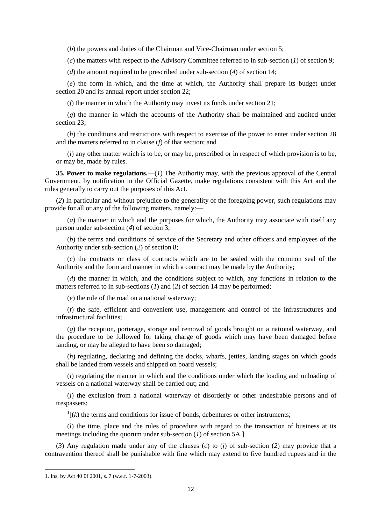(*b*) the powers and duties of the Chairman and Vice-Chairman under section 5;

(*c*) the matters with respect to the Advisory Committee referred to in sub-section (*1*) of section 9;

(*d*) the amount required to be prescribed under sub-section (*4*) of section 14;

(*e*) the form in which, and the time at which, the Authority shall prepare its budget under section 20 and its annual report under section 22;

(*f*) the manner in which the Authority may invest its funds under section 21;

(*g*) the manner in which the accounts of the Authority shall be maintained and audited under section 23;

(*h*) the conditions and restrictions with respect to exercise of the power to enter under section 28 and the matters referred to in clause (*f*) of that section; and

(*i*) any other matter which is to be, or may be, prescribed or in respect of which provision is to be, or may be, made by rules.

**35. Power to make regulations.—**(*1*) The Authority may, with the previous approval of the Central Government, by notification in the Official Gazette, make regulations consistent with this Act and the rules generally to carry out the purposes of this Act.

(*2*) In particular and without prejudice to the generality of the foregoing power, such regulations may provide for all or any of the following matters, namely:**—**

(*a*) the manner in which and the purposes for which, the Authority may associate with itself any person under sub-section (*4*) of section 3;

(*b*) the terms and conditions of service of the Secretary and other officers and employees of the Authority under sub-section (*2*) of section 8;

(*c*) the contracts or class of contracts which are to be sealed with the common seal of the Authority and the form and manner in which a contract may be made by the Authority;

(*d*) the manner in which, and the conditions subject to which, any functions in relation to the matters referred to in sub-sections (*1*) and (*2*) of section 14 may be performed;

(*e*) the rule of the road on a national waterway;

(*f*) the safe, efficient and convenient use, management and control of the infrastructures and infrastructural facilities;

(*g*) the reception, porterage, storage and removal of goods brought on a national waterway, and the procedure to be followed for taking charge of goods which may have been damaged before landing, or may be alleged to have been so damaged;

(*h*) regulating, declaring and defining the docks, wharfs, jetties, landing stages on which goods shall be landed from vessels and shipped on board vessels;

(*i*) regulating the manner in which and the conditions under which the loading and unloading of vessels on a national waterway shall be carried out; and

(*j*) the exclusion from a national waterway of disorderly or other undesirable persons and of trespassers;

 $\mathbf{1}$ [(k) the terms and conditions for issue of bonds, debentures or other instruments;

(*l*) the time, place and the rules of procedure with regard to the transaction of business at its meetings including the quorum under sub-section (*1*) of section 5A.]

(*3*) Any regulation made under any of the clauses (*c*) to (*j*) of sub-section (*2*) may provide that a contravention thereof shall be punishable with fine which may extend to five hundred rupees and in the

<sup>1.</sup> Ins. by Act 40 0f 2001, s. 7 (w.e.f. 1-7-2003).